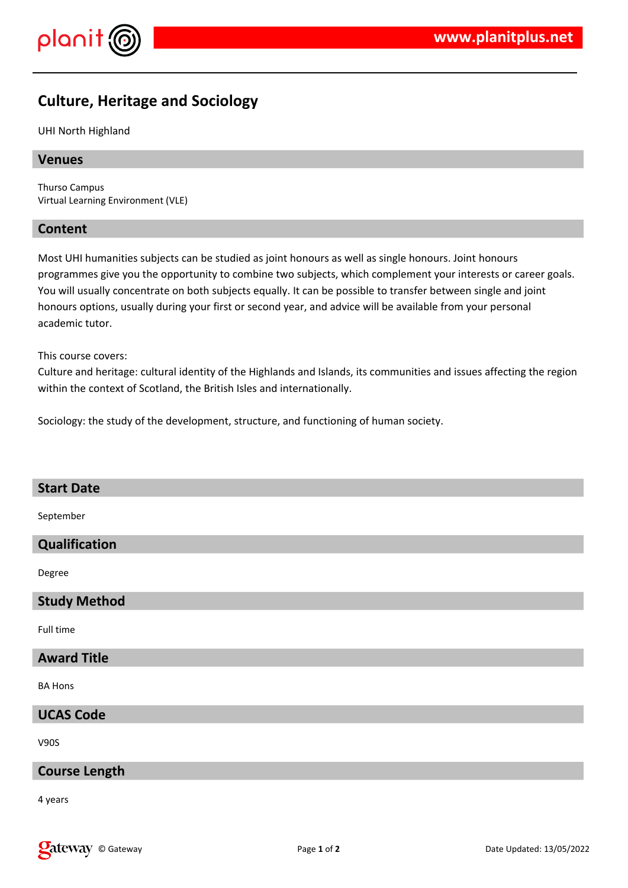

# **Culture, Heritage and Sociology**

## UHI North Highland

## **Venues**

Thurso Campus Virtual Learning Environment (VLE)

## **Content**

Most UHI humanities subjects can be studied as joint honours as well as single honours. Joint honours programmes give you the opportunity to combine two subjects, which complement your interests or career goals. You will usually concentrate on both subjects equally. It can be possible to transfer between single and joint honours options, usually during your first or second year, and advice will be available from your personal academic tutor.

This course covers:

Culture and heritage: cultural identity of the Highlands and Islands, its communities and issues affecting the region within the context of Scotland, the British Isles and internationally.

Sociology: the study of the development, structure, and functioning of human society.

| <b>Start Date</b>    |
|----------------------|
| September            |
| Qualification        |
| Degree               |
| <b>Study Method</b>  |
| Full time            |
| <b>Award Title</b>   |
| <b>BA Hons</b>       |
| <b>UCAS Code</b>     |
| <b>V90S</b>          |
| <b>Course Length</b> |
|                      |

4 years